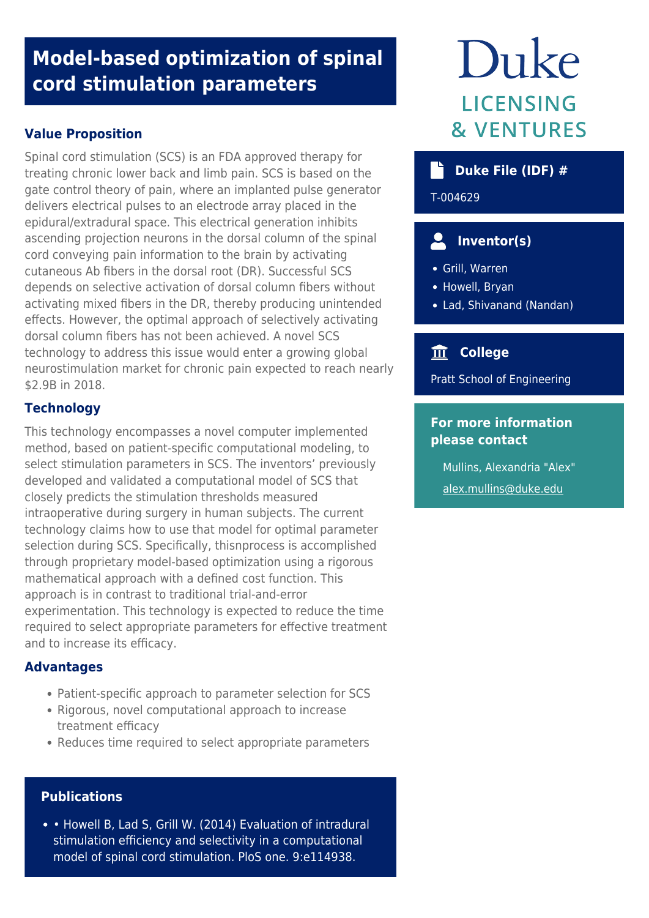# **Model-based optimization of spinal cord stimulation parameters**

# **Value Proposition**

Spinal cord stimulation (SCS) is an FDA approved therapy for treating chronic lower back and limb pain. SCS is based on the gate control theory of pain, where an implanted pulse generator delivers electrical pulses to an electrode array placed in the epidural/extradural space. This electrical generation inhibits ascending projection neurons in the dorsal column of the spinal cord conveying pain information to the brain by activating cutaneous Ab fibers in the dorsal root (DR). Successful SCS depends on selective activation of dorsal column fibers without activating mixed fibers in the DR, thereby producing unintended effects. However, the optimal approach of selectively activating dorsal column fibers has not been achieved. A novel SCS technology to address this issue would enter a growing global neurostimulation market for chronic pain expected to reach nearly \$2.9B in 2018.

### **Technology**

This technology encompasses a novel computer implemented method, based on patient-specific computational modeling, to select stimulation parameters in SCS. The inventors' previously developed and validated a computational model of SCS that closely predicts the stimulation thresholds measured intraoperative during surgery in human subjects. The current technology claims how to use that model for optimal parameter selection during SCS. Specifically, thisnprocess is accomplished through proprietary model-based optimization using a rigorous mathematical approach with a defined cost function. This approach is in contrast to traditional trial-and-error experimentation. This technology is expected to reduce the time required to select appropriate parameters for effective treatment and to increase its efficacy.

### **Advantages**

- Patient-specific approach to parameter selection for SCS
- Rigorous, novel computational approach to increase treatment efficacy
- Reduces time required to select appropriate parameters

### **Publications**

• Howell B, Lad S, Grill W. (2014) Evaluation of intradural stimulation efficiency and selectivity in a computational model of spinal cord stimulation. PloS one. 9:e114938.

# Duke **LICENSING & VENTURES**

# **b** Duke File (IDF) #

T-004629

# **Inventor(s)**

- Grill, Warren
- Howell, Bryan
- Lad, Shivanand (Nandan)

# **College**

Pratt School of Engineering

# **For more information please contact**

Mullins, Alexandria "Alex" [alex.mullins@duke.edu](mailto:alex.mullins@duke.edu)